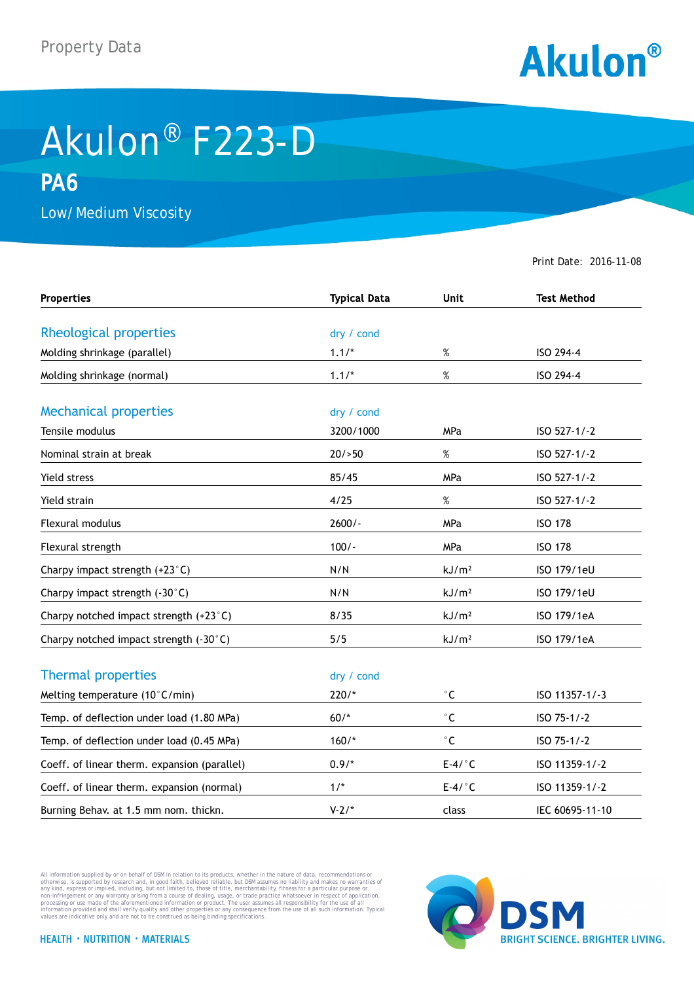

## Akulon® F223-D **PA6**

Low/Medium Viscosity

Print Date: 2016-11-08

| <b>Properties</b>                            | <b>Typical Data</b> | <b>Unit</b>       | <b>Test Method</b> |
|----------------------------------------------|---------------------|-------------------|--------------------|
| Rheological properties                       | dry / cond          |                   |                    |
|                                              |                     |                   |                    |
| Molding shrinkage (parallel)                 | $1.1/*$             | %                 | ISO 294-4          |
| Molding shrinkage (normal)                   | $1.1/*$             | $\%$              | ISO 294-4          |
| <b>Mechanical properties</b>                 | dry / cond          |                   |                    |
| Tensile modulus                              | 3200/1000           | <b>MPa</b>        | ISO 527-1/-2       |
| Nominal strain at break                      | 20/50               | $\%$              | ISO 527-1/-2       |
| Yield stress                                 | 85/45               | MPa               | ISO 527-1/-2       |
| Yield strain                                 | 4/25                | $\%$              | ISO 527-1/-2       |
| <b>Flexural modulus</b>                      | $2600/-$            | MPa               | <b>ISO 178</b>     |
| Flexural strength                            | $100/-$             | <b>MPa</b>        | <b>ISO 178</b>     |
| Charpy impact strength (+23°C)               | N/N                 | kJ/m <sup>2</sup> | ISO 179/1eU        |
| Charpy impact strength (-30°C)               | N/N                 | kJ/m <sup>2</sup> | ISO 179/1eU        |
| Charpy notched impact strength (+23°C)       | 8/35                | kJ/m <sup>2</sup> | ISO 179/1eA        |
| Charpy notched impact strength (-30°C)       | 5/5                 | kJ/m <sup>2</sup> | ISO 179/1eA        |
| <b>Thermal properties</b>                    | dry / cond          |                   |                    |
| Melting temperature (10°C/min)               | $220/*$             | $^\circ$ C        | ISO 11357-1/-3     |
| Temp. of deflection under load (1.80 MPa)    | $60/*$              | $^\circ$ C        | ISO 75-1/-2        |
| Temp. of deflection under load (0.45 MPa)    | $160/*$             | $^{\circ}$ C      | ISO 75-1/-2        |
| Coeff. of linear therm. expansion (parallel) | $0.9/*$             | $E-4/°C$          | ISO 11359-1/-2     |
| Coeff. of linear therm. expansion (normal)   | $1/$ *              | $E-4/°C$          | ISO 11359-1/-2     |
| Burning Behav. at 1.5 mm nom. thickn.        | $V-2/*$             | class             | IEC 60695-11-10    |

All information supplied by or on behalf of DSM in relation to its products, whether in the nature of data, recommendations or others in the matter of the order or the matter of the commendations or others in any kind, exp